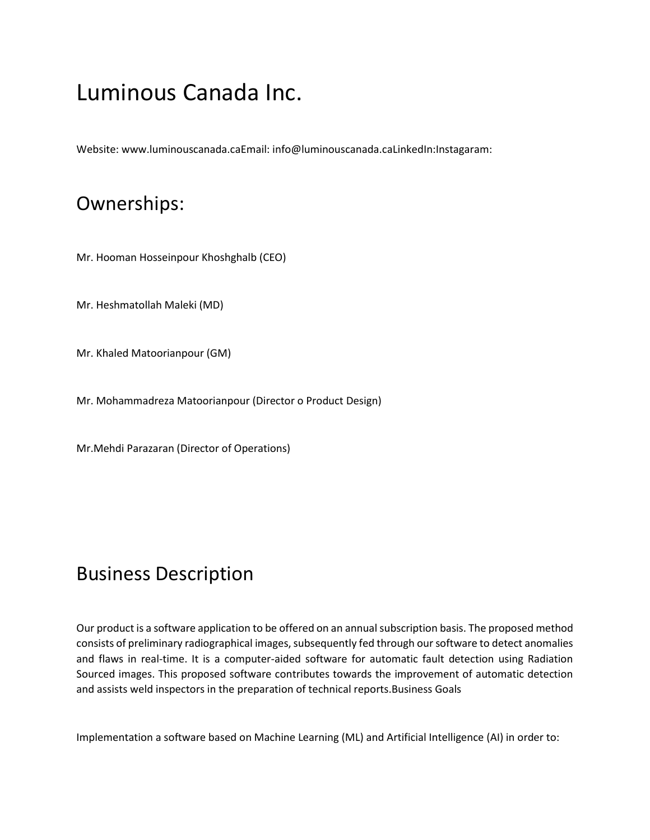# Luminous Canada Inc.

Website: www.luminouscanada.caEmail: info@luminouscanada.caLinkedIn:Instagaram:

#### Ownerships:

Mr. Hooman Hosseinpour Khoshghalb (CEO)

Mr. Heshmatollah Maleki (MD)

Mr. Khaled Matoorianpour (GM)

Mr. Mohammadreza Matoorianpour (Director o Product Design)

Mr.Mehdi Parazaran (Director of Operations)

# Business Description

Our product is a software application to be offered on an annual subscription basis. The proposed method consists of preliminary radiographical images, subsequently fed through our software to detect anomalies and flaws in real-time. It is a computer-aided software for automatic fault detection using Radiation Sourced images. This proposed software contributes towards the improvement of automatic detection and assists weld inspectors in the preparation of technical reports.Business Goals

Implementation a software based on Machine Learning (ML) and Artificial Intelligence (AI) in order to: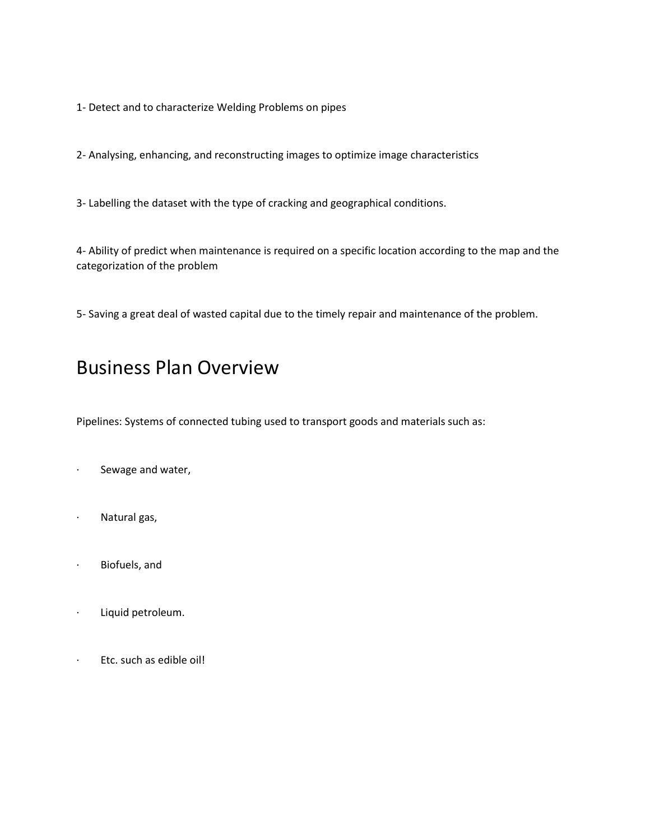1- Detect and to characterize Welding Problems on pipes

2- Analysing, enhancing, and reconstructing images to optimize image characteristics

3- Labelling the dataset with the type of cracking and geographical conditions.

4- Ability of predict when maintenance is required on a specific location according to the map and the categorization of the problem

5- Saving a great deal of wasted capital due to the timely repair and maintenance of the problem.

# Business Plan Overview

Pipelines: Systems of connected tubing used to transport goods and materials such as:

- Sewage and water,
- · Natural gas,
- · Biofuels, and
- · Liquid petroleum.
- · Etc. such as edible oil!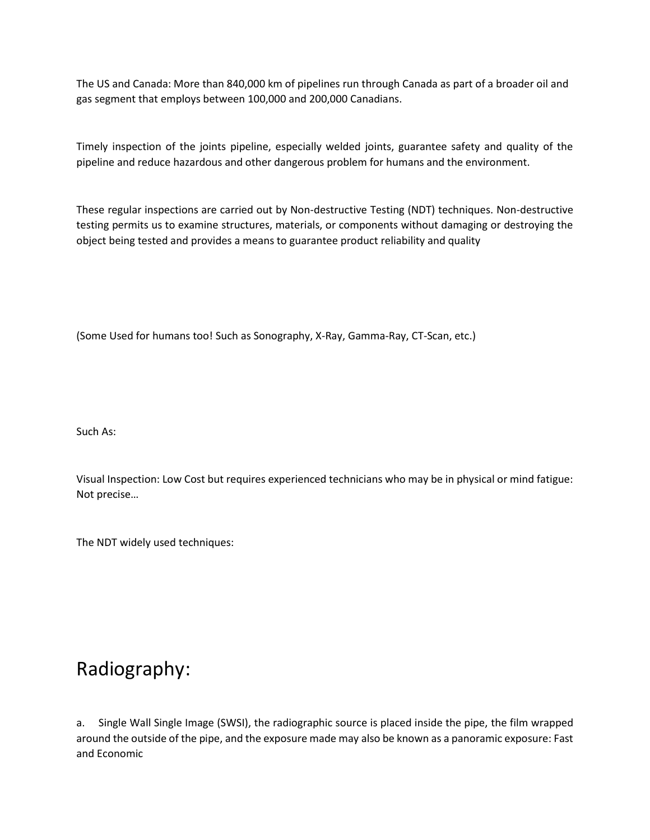The US and Canada: More than 840,000 km of pipelines run through Canada as part of a broader oil and gas segment that employs between 100,000 and 200,000 Canadians.

Timely inspection of the joints pipeline, especially welded joints, guarantee safety and quality of the pipeline and reduce hazardous and other dangerous problem for humans and the environment.

These regular inspections are carried out by Non-destructive Testing (NDT) techniques. Non-destructive testing permits us to examine structures, materials, or components without damaging or destroying the object being tested and provides a means to guarantee product reliability and quality

(Some Used for humans too! Such as Sonography, X-Ray, Gamma-Ray, CT-Scan, etc.)

Such As:

Visual Inspection: Low Cost but requires experienced technicians who may be in physical or mind fatigue: Not precise…

The NDT widely used techniques:

# Radiography:

a. Single Wall Single Image (SWSI), the radiographic source is placed inside the pipe, the film wrapped around the outside of the pipe, and the exposure made may also be known as a panoramic exposure: Fast and Economic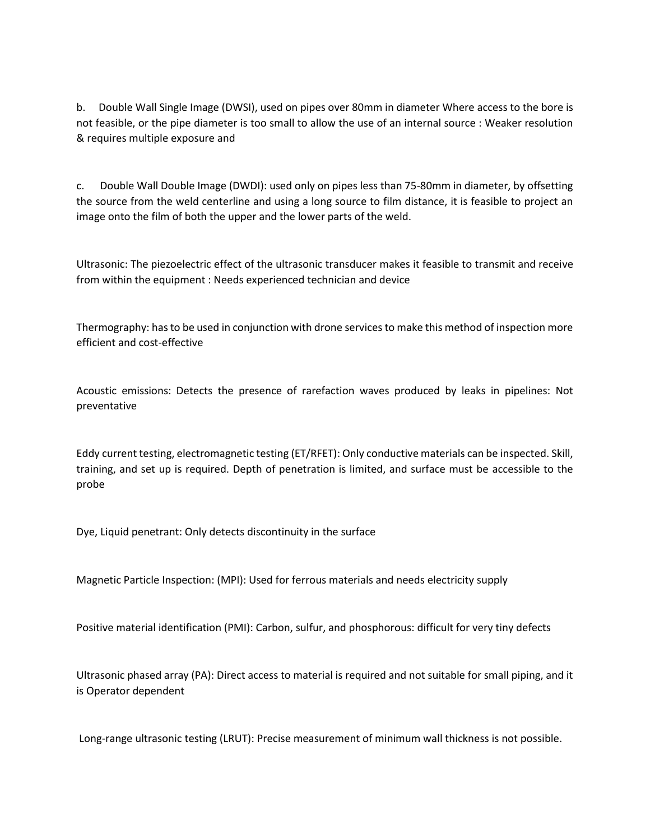b. Double Wall Single Image (DWSI), used on pipes over 80mm in diameter Where access to the bore is not feasible, or the pipe diameter is too small to allow the use of an internal source : Weaker resolution & requires multiple exposure and

c. Double Wall Double Image (DWDI): used only on pipes less than 75-80mm in diameter, by offsetting the source from the weld centerline and using a long source to film distance, it is feasible to project an image onto the film of both the upper and the lower parts of the weld.

Ultrasonic: The piezoelectric effect of the ultrasonic transducer makes it feasible to transmit and receive from within the equipment : Needs experienced technician and device

Thermography: has to be used in conjunction with drone services to make this method of inspection more efficient and cost-effective

Acoustic emissions: Detects the presence of rarefaction waves produced by leaks in pipelines: Not preventative

Eddy current testing, electromagnetic testing (ET/RFET): Only conductive materials can be inspected. Skill, training, and set up is required. Depth of penetration is limited, and surface must be accessible to the probe

Dye, Liquid penetrant: Only detects discontinuity in the surface

Magnetic Particle Inspection: (MPI): Used for ferrous materials and needs electricity supply

Positive material identification (PMI): Carbon, sulfur, and phosphorous: difficult for very tiny defects

Ultrasonic phased array (PA): Direct access to material is required and not suitable for small piping, and it is Operator dependent

Long-range ultrasonic testing (LRUT): Precise measurement of minimum wall thickness is not possible.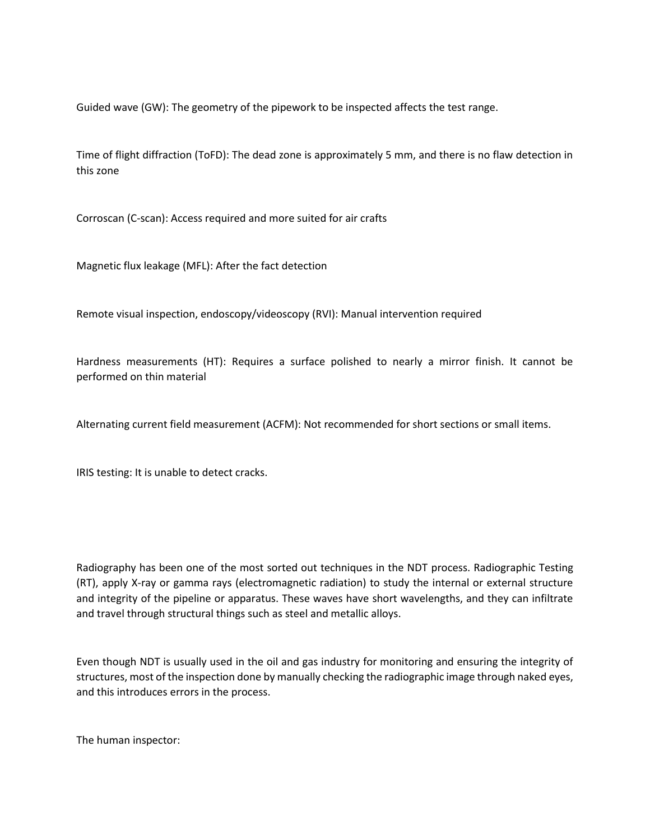Guided wave (GW): The geometry of the pipework to be inspected affects the test range.

Time of flight diffraction (ToFD): The dead zone is approximately 5 mm, and there is no flaw detection in this zone

Corroscan (C-scan): Access required and more suited for air crafts

Magnetic flux leakage (MFL): After the fact detection

Remote visual inspection, endoscopy/videoscopy (RVI): Manual intervention required

Hardness measurements (HT): Requires a surface polished to nearly a mirror finish. It cannot be performed on thin material

Alternating current field measurement (ACFM): Not recommended for short sections or small items.

IRIS testing: It is unable to detect cracks.

Radiography has been one of the most sorted out techniques in the NDT process. Radiographic Testing (RT), apply X-ray or gamma rays (electromagnetic radiation) to study the internal or external structure and integrity of the pipeline or apparatus. These waves have short wavelengths, and they can infiltrate and travel through structural things such as steel and metallic alloys.

Even though NDT is usually used in the oil and gas industry for monitoring and ensuring the integrity of structures, most of the inspection done by manually checking the radiographic image through naked eyes, and this introduces errors in the process.

The human inspector: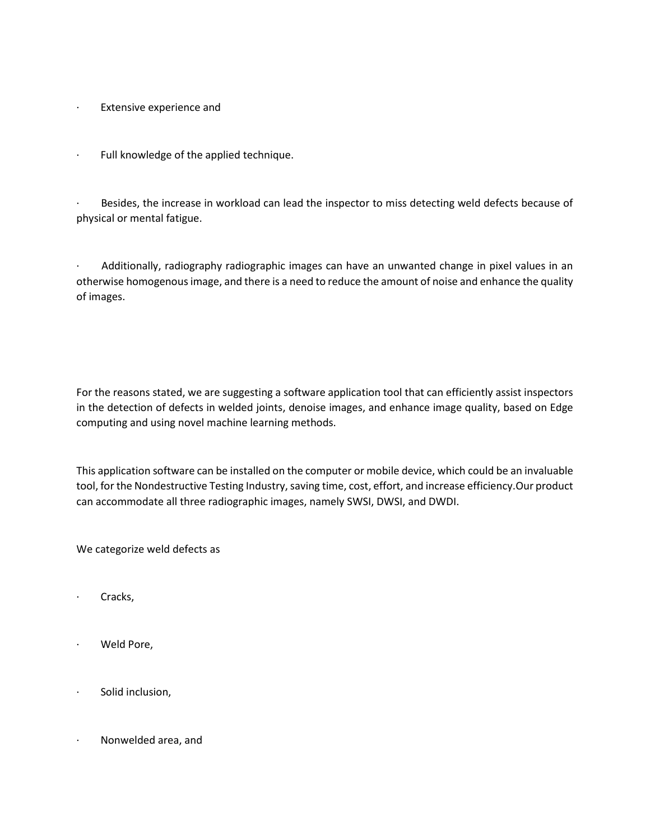- · Extensive experience and
- · Full knowledge of the applied technique.

Besides, the increase in workload can lead the inspector to miss detecting weld defects because of physical or mental fatigue.

· Additionally, radiography radiographic images can have an unwanted change in pixel values in an otherwise homogenous image, and there is a need to reduce the amount of noise and enhance the quality of images.

For the reasons stated, we are suggesting a software application tool that can efficiently assist inspectors in the detection of defects in welded joints, denoise images, and enhance image quality, based on Edge computing and using novel machine learning methods.

This application software can be installed on the computer or mobile device, which could be an invaluable tool, for the Nondestructive Testing Industry, saving time, cost, effort, and increase efficiency.Our product can accommodate all three radiographic images, namely SWSI, DWSI, and DWDI.

We categorize weld defects as

- · Cracks,
- Weld Pore,
- Solid inclusion,
- · Nonwelded area, and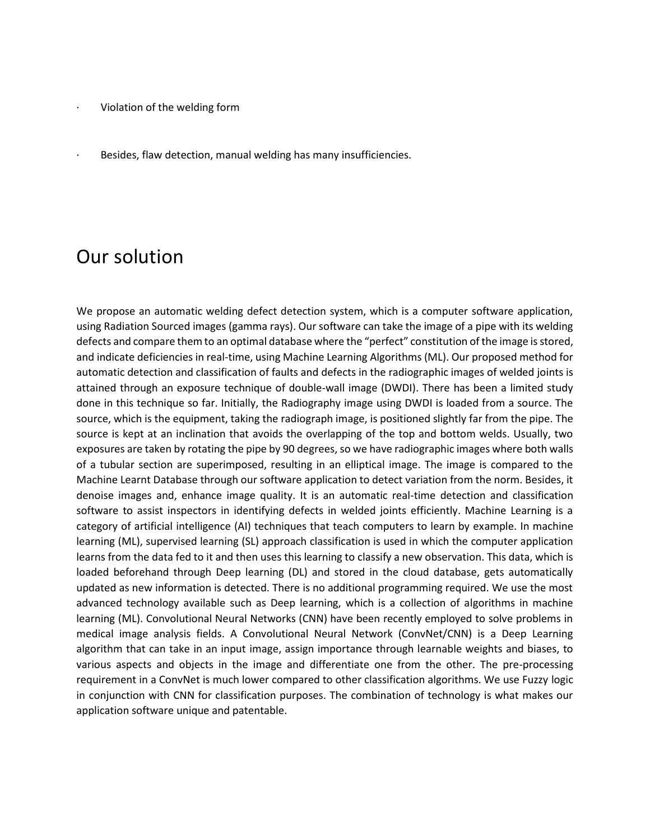- Violation of the welding form
- Besides, flaw detection, manual welding has many insufficiencies.

#### Our solution

We propose an automatic welding defect detection system, which is a computer software application, using Radiation Sourced images (gamma rays). Our software can take the image of a pipe with its welding defects and compare them to an optimal database where the "perfect" constitution of the image is stored, and indicate deficiencies in real-time, using Machine Learning Algorithms (ML). Our proposed method for automatic detection and classification of faults and defects in the radiographic images of welded joints is attained through an exposure technique of double-wall image (DWDI). There has been a limited study done in this technique so far. Initially, the Radiography image using DWDI is loaded from a source. The source, which is the equipment, taking the radiograph image, is positioned slightly far from the pipe. The source is kept at an inclination that avoids the overlapping of the top and bottom welds. Usually, two exposures are taken by rotating the pipe by 90 degrees, so we have radiographic images where both walls of a tubular section are superimposed, resulting in an elliptical image. The image is compared to the Machine Learnt Database through our software application to detect variation from the norm. Besides, it denoise images and, enhance image quality. It is an automatic real-time detection and classification software to assist inspectors in identifying defects in welded joints efficiently. Machine Learning is a category of artificial intelligence (AI) techniques that teach computers to learn by example. In machine learning (ML), supervised learning (SL) approach classification is used in which the computer application learns from the data fed to it and then uses this learning to classify a new observation. This data, which is loaded beforehand through Deep learning (DL) and stored in the cloud database, gets automatically updated as new information is detected. There is no additional programming required. We use the most advanced technology available such as Deep learning, which is a collection of algorithms in machine learning (ML). Convolutional Neural Networks (CNN) have been recently employed to solve problems in medical image analysis fields. A Convolutional Neural Network (ConvNet/CNN) is a Deep Learning algorithm that can take in an input image, assign importance through learnable weights and biases, to various aspects and objects in the image and differentiate one from the other. The pre-processing requirement in a ConvNet is much lower compared to other classification algorithms. We use Fuzzy logic in conjunction with CNN for classification purposes. The combination of technology is what makes our application software unique and patentable.